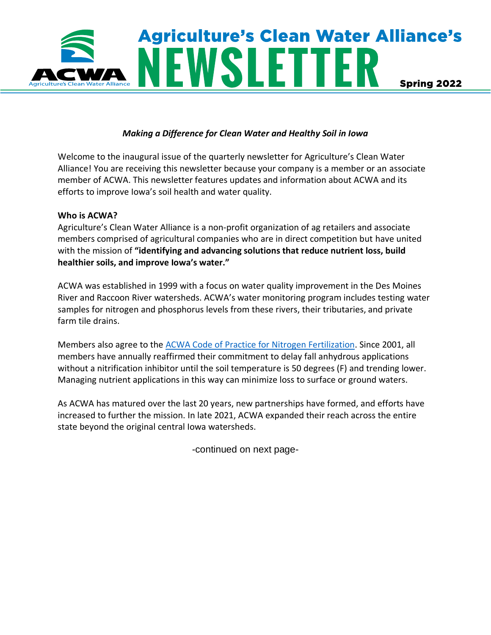

### *Making a Difference for Clean Water and Healthy Soil in Iowa*

Welcome to the inaugural issue of the quarterly newsletter for Agriculture's Clean Water Alliance! You are receiving this newsletter because your company is a member or an associate member of ACWA. This newsletter features updates and information about ACWA and its efforts to improve Iowa's soil health and water quality.

### **Who is ACWA?**

Agriculture's Clean Water Alliance is a non-profit organization of ag retailers and associate members comprised of agricultural companies who are in direct competition but have united with the mission of **"identifying and advancing solutions that reduce nutrient loss, build healthier soils, and improve Iowa's water."**

ACWA was established in 1999 with a focus on water quality improvement in the Des Moines River and Raccoon River watersheds. ACWA's water monitoring program includes testing water samples for nitrogen and phosphorus levels from these rivers, their tributaries, and private farm tile drains.

Members also agree to the [ACWA Code of Practice for Nitrogen Fertilization.](https://www.acwaiowa.com/resources/code-of-practice-standard/) Since 2001, all members have annually reaffirmed their commitment to delay fall anhydrous applications without a nitrification inhibitor until the soil temperature is 50 degrees (F) and trending lower. Managing nutrient applications in this way can minimize loss to surface or ground waters.

As ACWA has matured over the last 20 years, new partnerships have formed, and efforts have increased to further the mission. In late 2021, ACWA expanded their reach across the entire state beyond the original central Iowa watersheds.

-continued on next page-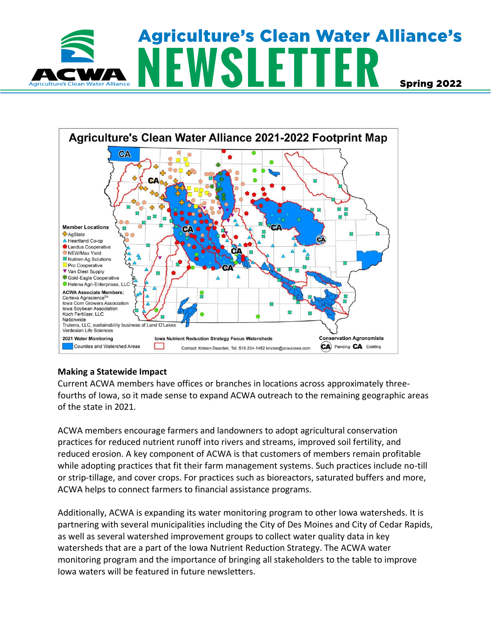



# **Making a Statewide Impact**

Current ACWA members have offices or branches in locations across approximately threefourths of Iowa, so it made sense to expand ACWA outreach to the remaining geographic areas of the state in 2021.

ACWA members encourage farmers and landowners to adopt agricultural conservation practices for reduced nutrient runoff into rivers and streams, improved soil fertility, and reduced erosion. A key component of ACWA is that customers of members remain profitable while adopting practices that fit their farm management systems. Such practices include no-till or strip-tillage, and cover crops. For practices such as bioreactors, saturated buffers and more, ACWA helps to connect farmers to financial assistance programs.

Additionally, ACWA is expanding its water monitoring program to other Iowa watersheds. It is partnering with several municipalities including the City of Des Moines and City of Cedar Rapids, as well as several watershed improvement groups to collect water quality data in key watersheds that are a part of the Iowa Nutrient Reduction Strategy. The ACWA water monitoring program and the importance of bringing all stakeholders to the table to improve Iowa waters will be featured in future newsletters.